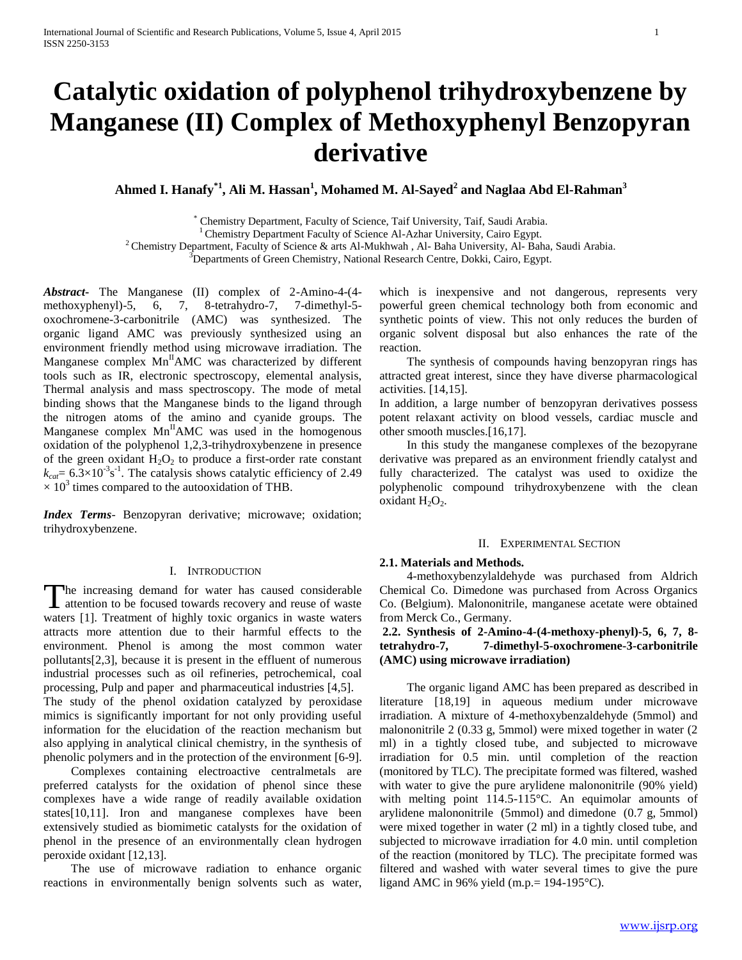# **Catalytic oxidation of polyphenol trihydroxybenzene by Manganese (II) Complex of Methoxyphenyl Benzopyran derivative**

**Ahmed I. Hanafy\*1, Ali M. Hassan<sup>1</sup> , Mohamed M. Al-Sayed<sup>2</sup> and Naglaa Abd El-Rahman<sup>3</sup>**

\* Chemistry Department, Faculty of Science, Taif University, Taif, Saudi Arabia.

<sup>1</sup> Chemistry Department Faculty of Science Al-Azhar University, Cairo Egypt.

<sup>2</sup> Chemistry Department, Faculty of Science & arts Al-Mukhwah, Al- Baha University, Al- Baha, Saudi Arabia.

<sup>3</sup>Departments of Green Chemistry, National Research Centre, Dokki, Cairo, Egypt.

*Abstract***-** The Manganese (II) complex of 2-Amino-4-(4 methoxyphenyl)-5, 6, 7, 8-tetrahydro-7, 7-dimethyl-5 oxochromene-3-carbonitrile (AMC) was synthesized. The organic ligand AMC was previously synthesized using an environment friendly method using microwave irradiation. The Manganese complex  $Mn^HAMC$  was characterized by different tools such as IR, electronic spectroscopy, elemental analysis, Thermal analysis and mass spectroscopy. The mode of metal binding shows that the Manganese binds to the ligand through the nitrogen atoms of the amino and cyanide groups. The Manganese complex  $Mn^HAMC$  was used in the homogenous oxidation of the polyphenol 1,2,3-trihydroxybenzene in presence of the green oxidant  $H_2O_2$  to produce a first-order rate constant  $k_{\text{cat}}$  = 6.3 $\times$ 10<sup>-3</sup>s<sup>-1</sup>. The catalysis shows catalytic efficiency of 2.49  $\times$  10<sup>3</sup> times compared to the autooxidation of THB.

*Index Terms*- Benzopyran derivative; microwave; oxidation; trihydroxybenzene.

## I. INTRODUCTION

he increasing demand for water has caused considerable The increasing demand for water has caused considerable<br>attention to be focused towards recovery and reuse of waste waters [1]. Treatment of highly toxic organics in waste waters attracts more attention due to their harmful effects to the environment. Phenol is among the most common water pollutants[2,3], because it is present in the effluent of numerous industrial processes such as oil refineries, petrochemical, coal processing, Pulp and paper and pharmaceutical industries [4,5].

The study of the phenol oxidation catalyzed by peroxidase mimics is significantly important for not only providing useful information for the elucidation of the reaction mechanism but also applying in analytical clinical chemistry, in the synthesis of phenolic polymers and in the protection of the environment [6-9].

 Complexes containing electroactive centralmetals are preferred catalysts for the oxidation of phenol since these complexes have a wide range of readily available oxidation states[10,11]. Iron and manganese complexes have been extensively studied as biomimetic catalysts for the oxidation of phenol in the presence of an environmentally clean hydrogen peroxide oxidant [12,13].

 The use of microwave radiation to enhance organic reactions in environmentally benign solvents such as water,

which is inexpensive and not dangerous, represents very powerful green chemical technology both from economic and synthetic points of view. This not only reduces the burden of organic solvent disposal but also enhances the rate of the reaction.

 The synthesis of compounds having benzopyran rings has attracted great interest, since they have diverse pharmacological activities. [14,15].

In addition, a large number of benzopyran derivatives possess potent relaxant activity on blood vessels, cardiac muscle and other smooth muscles.[16,17].

 In this study the manganese complexes of the bezopyrane derivative was prepared as an environment friendly catalyst and fully characterized. The catalyst was used to oxidize the polyphenolic compound trihydroxybenzene with the clean oxidant H<sub>2</sub>O<sub>2</sub>.

#### II. EXPERIMENTAL SECTION

## **2.1. Materials and Methods.**

 4-methoxybenzylaldehyde was purchased from Aldrich Chemical Co. Dimedone was purchased from Across Organics Co. (Belgium). Malononitrile, manganese acetate were obtained from Merck Co., Germany.

**2.2. Synthesis of 2-Amino-4-(4-methoxy-phenyl)-5, 6, 7, 8 tetrahydro-7, 7-dimethyl-5-oxochromene-3-carbonitrile (AMC) using microwave irradiation)**

 The organic ligand AMC has been prepared as described in literature [18,19] in aqueous medium under microwave irradiation. A mixture of 4-methoxybenzaldehyde (5mmol) and malononitrile 2 (0.33 g, 5mmol) were mixed together in water (2 ml) in a tightly closed tube, and subjected to microwave irradiation for 0.5 min. until completion of the reaction (monitored by TLC). The precipitate formed was filtered, washed with water to give the pure arylidene malononitrile (90% yield) with melting point 114.5-115°C. An equimolar amounts of arylidene malononitrile (5mmol) and dimedone (0.7 g, 5mmol) were mixed together in water (2 ml) in a tightly closed tube, and subjected to microwave irradiation for 4.0 min. until completion of the reaction (monitored by TLC). The precipitate formed was filtered and washed with water several times to give the pure ligand AMC in 96% yield (m.p. =  $194-195$ °C).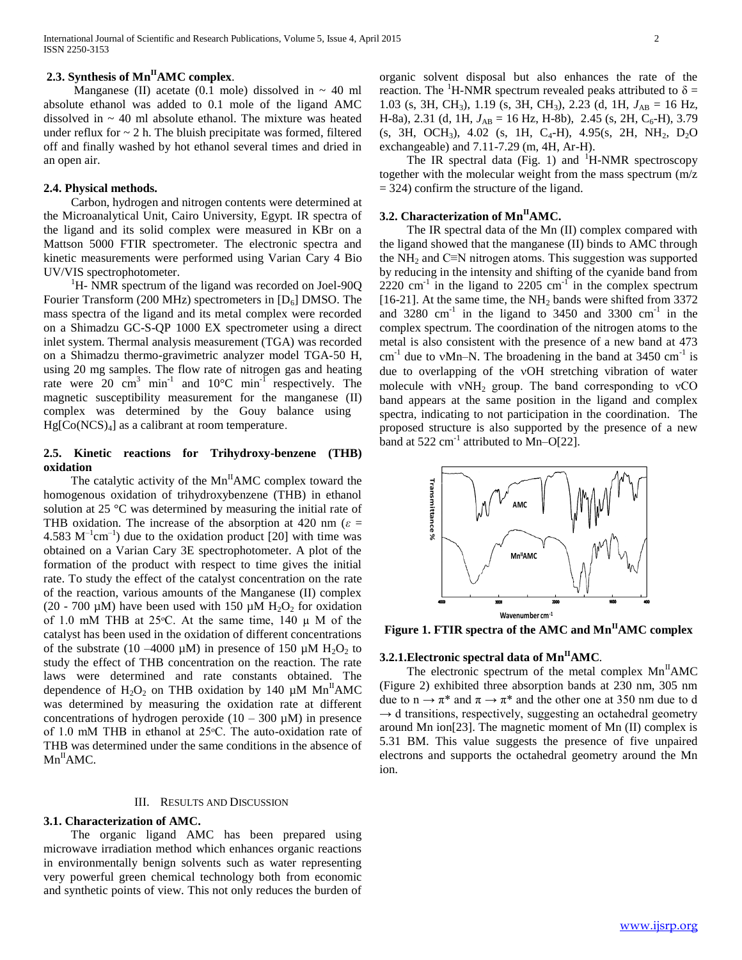# **2.3. Synthesis of MnIIAMC complex**.

Manganese (II) acetate (0.1 mole) dissolved in  $\sim$  40 ml absolute ethanol was added to 0.1 mole of the ligand AMC dissolved in  $\sim$  40 ml absolute ethanol. The mixture was heated under reflux for  $\sim$  2 h. The bluish precipitate was formed, filtered off and finally washed by hot ethanol several times and dried in an open air.

## **2.4. Physical methods.**

 Carbon, hydrogen and nitrogen contents were determined at the Microanalytical Unit, Cairo University, Egypt. IR spectra of the ligand and its solid complex were measured in KBr on a Mattson 5000 FTIR spectrometer. The electronic spectra and kinetic measurements were performed using Varian Cary 4 Bio UV/VIS spectrophotometer.

 ${}^{1}$ H- NMR spectrum of the ligand was recorded on Joel-90Q Fourier Transform (200 MHz) spectrometers in  $[D_6]$  DMSO. The mass spectra of the ligand and its metal complex were recorded on a Shimadzu GC-S-QP 1000 EX spectrometer using a direct inlet system. Thermal analysis measurement (TGA) was recorded on a Shimadzu thermo-gravimetric analyzer model TGA-50 H, using 20 mg samples. The flow rate of nitrogen gas and heating rate were 20  $\text{cm}^3$  min<sup>-1</sup> and 10°C min<sup>-1</sup> respectively. The magnetic susceptibility measurement for the manganese (II) complex was determined by the Gouy balance using  $Hg[Co(NCS)<sub>4</sub>]$  as a calibrant at room temperature.

## **2.5. Kinetic reactions for Trihydroxy-benzene (THB) oxidation**

The catalytic activity of the  $Mn^HAMC$  complex toward the homogenous oxidation of trihydroxybenzene (THB) in ethanol solution at 25 °C was determined by measuring the initial rate of THB oxidation. The increase of the absorption at 420 nm ( $\varepsilon$  = 4.583  $M^{-1}$ cm<sup>-1</sup>) due to the oxidation product [20] with time was obtained on a Varian Cary 3E spectrophotometer. A plot of the formation of the product with respect to time gives the initial rate. To study the effect of the catalyst concentration on the rate of the reaction, various amounts of the Manganese (II) complex (20 - 700  $\mu$ M) have been used with 150  $\mu$ M H<sub>2</sub>O<sub>2</sub> for oxidation of 1.0 mM THB at 25 $\degree$ C. At the same time, 140  $\mu$  M of the catalyst has been used in the oxidation of different concentrations of the substrate (10 –4000  $\mu$ M) in presence of 150  $\mu$ M H<sub>2</sub>O<sub>2</sub> to study the effect of THB concentration on the reaction. The rate laws were determined and rate constants obtained. The dependence of  $H_2O_2$  on THB oxidation by 140  $\mu$ M Mn<sup>II</sup>AMC was determined by measuring the oxidation rate at different concentrations of hydrogen peroxide  $(10 - 300 \mu M)$  in presence of 1.0 mM THB in ethanol at 25 °C. The auto-oxidation rate of THB was determined under the same conditions in the absence of  $Mn^H$ AMC.

#### III. RESULTS AND DISCUSSION

## **3.1. Characterization of AMC.**

 The organic ligand AMC has been prepared using microwave irradiation method which enhances organic reactions in environmentally benign solvents such as water representing very powerful green chemical technology both from economic and synthetic points of view. This not only reduces the burden of organic solvent disposal but also enhances the rate of the reaction. The <sup>1</sup>H-NMR spectrum revealed peaks attributed to  $\delta$  = 1.03 (s, 3H, CH<sub>3</sub>), 1.19 (s, 3H, CH<sub>3</sub>), 2.23 (d, 1H,  $J_{AB} = 16$  Hz, H-8a), 2.31 (d, 1H,  $J_{AB} = 16$  Hz, H-8b), 2.45 (s, 2H, C<sub>6</sub>-H), 3.79 (s, 3H, OCH<sub>3</sub>), 4.02 (s, 1H, C<sub>4</sub>-H), 4.95(s, 2H, NH<sub>2</sub>, D<sub>2</sub>O exchangeable) and 7.11-7.29 (m, 4H, Ar-H).

The IR spectral data (Fig. 1) and  $H-MMR$  spectroscopy together with the molecular weight from the mass spectrum (m/z  $= 324$ ) confirm the structure of the ligand.

## **3.2. Characterization of MnIIAMC.**

 The IR spectral data of the Mn (II) complex compared with the ligand showed that the manganese (II) binds to AMC through the NH<sub>2</sub> and C≡N nitrogen atoms. This suggestion was supported by reducing in the intensity and shifting of the cyanide band from  $2220$  cm<sup>-1</sup> in the ligand to 2205 cm<sup>-1</sup> in the complex spectrum [16-21]. At the same time, the  $NH<sub>2</sub>$  bands were shifted from 3372 and 3280  $\text{cm}^{-1}$  in the ligand to 3450 and 3300  $\text{cm}^{-1}$  in the complex spectrum. The coordination of the nitrogen atoms to the metal is also consistent with the presence of a new band at 473  $\text{cm}^{-1}$  due to vMn–N. The broadening in the band at 3450  $\text{cm}^{-1}$  is due to overlapping of the vOH stretching vibration of water molecule with  $vNH_2$  group. The band corresponding to  $vCO$ band appears at the same position in the ligand and complex spectra, indicating to not participation in the coordination. The proposed structure is also supported by the presence of a new band at  $522 \text{ cm}^{-1}$  attributed to Mn-O[22].



**Figure 1. FTIR spectra of the AMC and MnIIAMC complex**

## **3.2.1.Electronic spectral data of MnIIAMC***.*

The electronic spectrum of the metal complex  $Mn<sup>H</sup>AMC$ (Figure 2) exhibited three absorption bands at 230 nm, 305 nm due to  $n \to \pi^*$  and  $\pi \to \pi^*$  and the other one at 350 nm due to d  $\rightarrow$  d transitions, respectively, suggesting an octahedral geometry around Mn ion[23]. The magnetic moment of Mn (II) complex is 5.31 BM. This value suggests the presence of five unpaired electrons and supports the octahedral geometry around the Mn ion.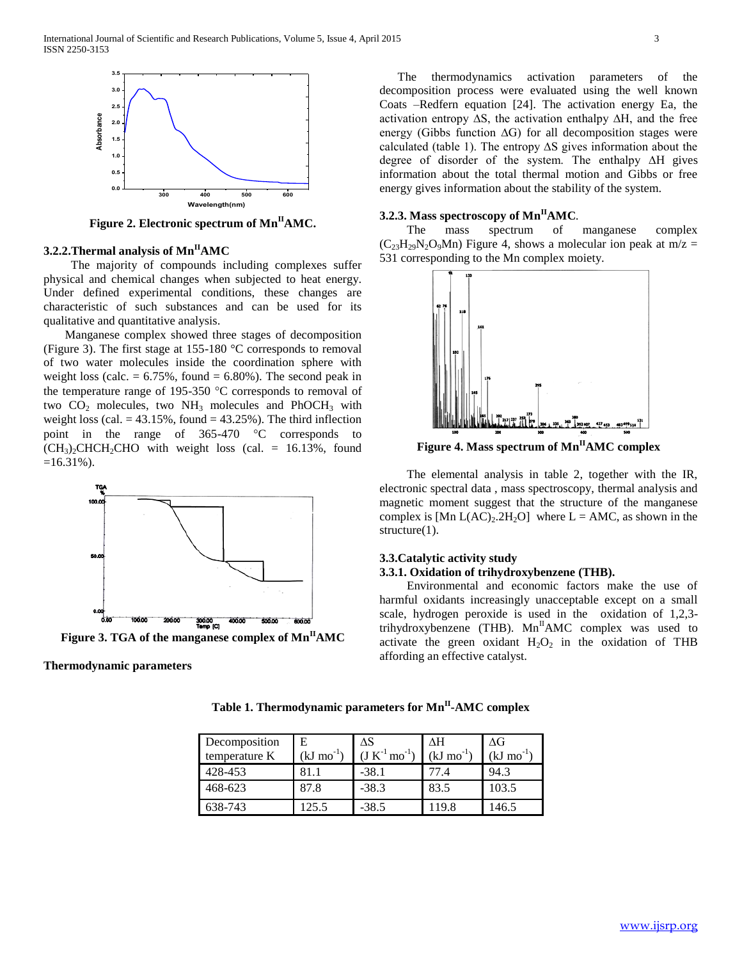

**Figure 2. Electronic spectrum of MnIIAMC.**

## **3.2.2.Thermal analysis of MnIIAMC**

 The majority of compounds including complexes suffer physical and chemical changes when subjected to heat energy. Under defined experimental conditions, these changes are characteristic of such substances and can be used for its qualitative and quantitative analysis.

 Manganese complex showed three stages of decomposition (Figure 3). The first stage at 155-180 °C corresponds to removal of two water molecules inside the coordination sphere with weight loss (calc.  $= 6.75\%$ , found  $= 6.80\%$ ). The second peak in the temperature range of 195-350  $\degree$ C corresponds to removal of two  $CO<sub>2</sub>$  molecules, two NH<sub>3</sub> molecules and PhOCH<sub>3</sub> with weight loss (cal.  $= 43.15\%$ , found  $= 43.25\%$ ). The third inflection point in the range of  $365-470$  °C corresponds to  $(CH<sub>3</sub>)$ , CHCH<sub>2</sub>CHO with weight loss (cal. = 16.13%, found  $=16.31\%$ ).



**Thermodynamic parameters**

 The thermodynamics activation parameters of the decomposition process were evaluated using the well known Coats –Redfern equation [24]. The activation energy Ea, the activation entropy ∆S, the activation enthalpy ∆H, and the free energy (Gibbs function ∆G) for all decomposition stages were calculated (table 1). The entropy ∆S gives information about the degree of disorder of the system. The enthalpy ∆H gives information about the total thermal motion and Gibbs or free energy gives information about the stability of the system.

## **3.2.3. Mass spectroscopy of MnIIAMC***.*

 The mass spectrum of manganese complex  $(C_{23}H_{29}N_2O_9Mn)$  Figure 4, shows a molecular ion peak at m/z = 531 corresponding to the Mn complex moiety.



**Figure 4. Mass spectrum of MnIIAMC complex**

 The elemental analysis in table 2, together with the IR, electronic spectral data , mass spectroscopy, thermal analysis and magnetic moment suggest that the structure of the manganese complex is  $[Mn L(AC)<sub>2</sub>2H<sub>2</sub>O]$  where  $L = AMC$ , as shown in the structure(1).

## **3.3.Catalytic activity study 3.3.1. Oxidation of trihydroxybenzene (THB).**

 Environmental and economic factors make the use of harmful oxidants increasingly unacceptable except on a small scale, hydrogen peroxide is used in the oxidation of 1,2,3 trihydroxybenzene (THB).  $Mn<sup>H</sup>AMC$  complex was used to activate the green oxidant  $H_2O_2$  in the oxidation of THB affording an effective catalyst.

| Decomposition<br>temperature K | E<br>$(kJ \text{ mo}^{-1})$ | ΔS<br>$(\mathrm{J} \mathrm{ K}^{-1} \mathrm{mo}^{-1})$ | ΛH<br>(kJ mo <sup>-</sup> | ЛG<br>$(kJ \text{ mo}^{-1})$ |
|--------------------------------|-----------------------------|--------------------------------------------------------|---------------------------|------------------------------|
| 428-453                        |                             | $-38.1$                                                | 77.4                      | 94.3                         |
| 468-623                        | 87.8                        | $-38.3$                                                | 83.5                      | 103.5                        |
| 638-743                        | 125.5                       | $-38.5$                                                | 19.8                      | 146.5                        |

**Table 1. Thermodynamic parameters for MnII -AMC complex**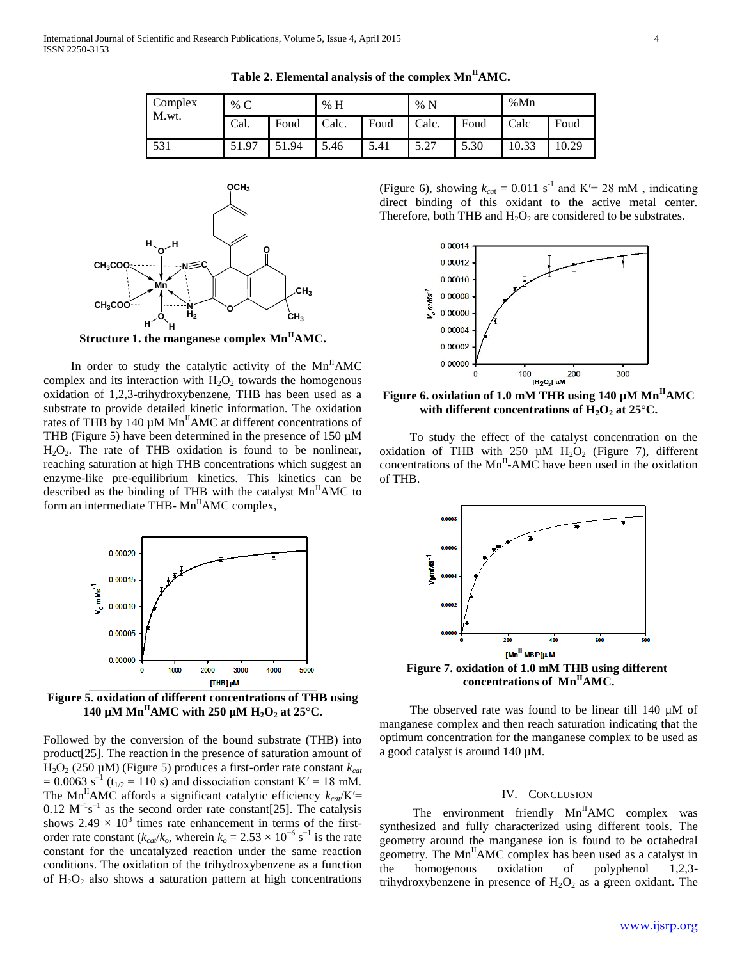| Complex<br>M.wt. | % $C$ |       | % H   |      | %N    |      | %Mn   |       |
|------------------|-------|-------|-------|------|-------|------|-------|-------|
|                  | Cal.  | Foud  | Calc. | Foud | Calc. | Foud | Calc  | Foud  |
| 531              | 51.97 | 51.94 | 5.46  | 5.41 | 5.27  | 5.30 | 10.33 | 10.29 |

**Table 2. Elemental analysis of the complex MnIIAMC.**



In order to study the catalytic activity of the  $Mn^HAMC$ complex and its interaction with  $H_2O_2$  towards the homogenous oxidation of 1,2,3-trihydroxybenzene, THB has been used as a substrate to provide detailed kinetic information. The oxidation rates of THB by 140  $\mu$ M Mn<sup>II</sup>AMC at different concentrations of THB (Figure 5) have been determined in the presence of 150  $\mu$ M  $H<sub>2</sub>O<sub>2</sub>$ . The rate of THB oxidation is found to be nonlinear, reaching saturation at high THB concentrations which suggest an enzyme-like pre-equilibrium kinetics. This kinetics can be described as the binding of THB with the catalyst  $Mn<sup>H</sup>AMC$  to form an intermediate THB- $Mn<sup>H</sup>AMC$  complex,



**Figure 5. oxidation of different concentrations of THB using 140 µM Mn**<sup>II</sup>**AMC** with 250 µM  $H_2O_2$  at 25<sup>°</sup>C.

Followed by the conversion of the bound substrate (THB) into product[25]. The reaction in the presence of saturation amount of H2O<sup>2</sup> (250 µM) (Figure 5) produces a first-order rate constant *kcat*  $= 0.0063$  s<sup>-1</sup> (t<sub>1/2</sub> = 110 s) and dissociation constant K' = 18 mM. The Mn<sup>II</sup>AMC affords a significant catalytic efficiency  $k_{cat}/K'$ =  $0.12 \text{ M}^{-1} \text{s}^{-1}$  as the second order rate constant[25]. The catalysis shows 2.49  $\times$  10<sup>3</sup> times rate enhancement in terms of the firstorder rate constant ( $k_{cat}/k_o$ , wherein  $k_o = 2.53 \times 10^{-6}$  s<sup>-1</sup> is the rate constant for the uncatalyzed reaction under the same reaction conditions. The oxidation of the trihydroxybenzene as a function of  $H_2O_2$  also shows a saturation pattern at high concentrations

(Figure 6), showing  $k_{cat} = 0.011$  s<sup>-1</sup> and K'= 28 mM, indicating direct binding of this oxidant to the active metal center. Therefore, both THB and  $H_2O_2$  are considered to be substrates.



**Figure 6. oxidation of 1.0 mM THB using 140 µM MnIIAMC with different concentrations of**  $H_2O_2$  **at 25 °C.** 

 To study the effect of the catalyst concentration on the oxidation of THB with 250  $\mu$ M H<sub>2</sub>O<sub>2</sub> (Figure 7), different concentrations of the  $Mn^{\text{II}}$ -AMC have been used in the oxidation of THB.



**Figure 7. oxidation of 1.0 mM THB using different concentrations of MnIIAMC.**

The observed rate was found to be linear till 140 µM of manganese complex and then reach saturation indicating that the optimum concentration for the manganese complex to be used as a good catalyst is around 140 µM.

## IV. CONCLUSION

The environment friendly  $Mn^HAMC$  complex was synthesized and fully characterized using different tools. The geometry around the manganese ion is found to be octahedral geometry. The  $Mn^HAMC$  complex has been used as a catalyst in the homogenous oxidation of polyphenol 1,2,3 trihydroxybenzene in presence of  $H_2O_2$  as a green oxidant. The